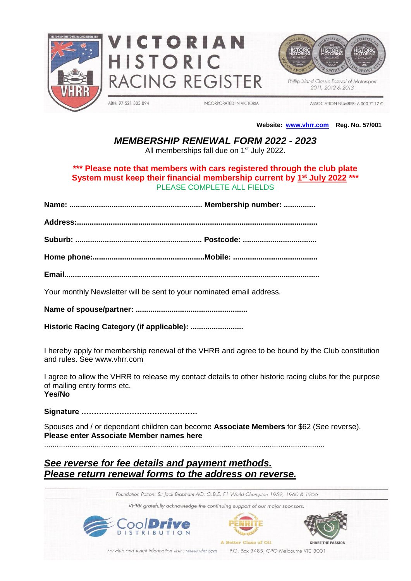





2011, 2012 & 2013

ABN: 97 521 303 894

**INCORPORATED IN VICTORIA** 

ASSOCIATION NUMBER: A 000 7117 C

#### **Website: [www.vhrr.com](http://www.vhrr.com/) Reg. No. 57/001**

### *MEMBERSHIP RENEWAL FORM 2022 - 2023*

All memberships fall due on 1<sup>st</sup> July 2022.

#### **\*\*\* Please note that members with cars registered through the club plate System must keep their financial membership current by 1 st July 2022 \*\*\*** PLEASE COMPLETE ALL FIELDS

**Name: ............................................................... Membership number: ...............**

**Address:..................................................................................................................** 

**Suburb: ............................................................ Postcode: ...................................** 

**Home phone:.....................................................Mobile: ........................................** 

**Email.........................................................................................................................**

Your monthly Newsletter will be sent to your nominated email address.

**Name of spouse/partner: .....................................................**

**Historic Racing Category (if applicable): .........................**

I hereby apply for membership renewal of the VHRR and agree to be bound by the Club constitution and rules. See [www.vhrr.com](http://www.vhrr.com/)

I agree to allow the VHRR to release my contact details to other historic racing clubs for the purpose of mailing entry forms etc. **Yes/No**

**Signature ……………………………………….**

Spouses and / or dependant children can become **Associate Members** for \$62 (See reverse). **Please enter Associate Member names here**

.....................................................................................................................................

## *See reverse for fee details and payment methods. Please return renewal forms to the address on reverse.*

Foundation Patron: Sir Jack Brabham AO. O.B.E. F1 World Champion 1959, 1960 & 1966

VHRR gratefully acknowledge the continuing support of our major sponsors:







For club and event information visit : www.vhrr.com

P.O. Box 3485, GPO Melbourne VIC 3001